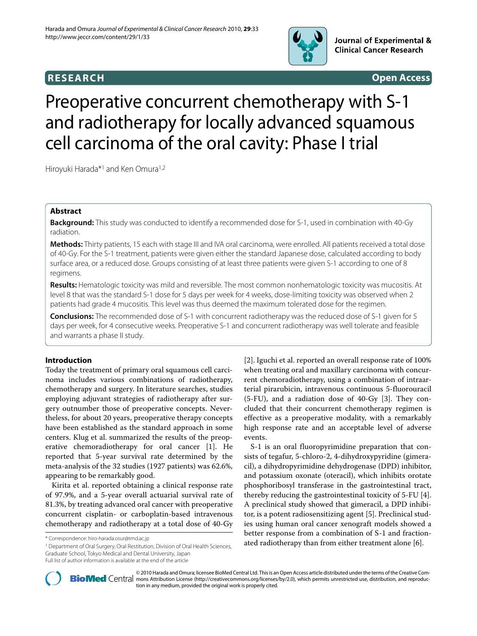

# **RESEARCH Open Access**

# Preoperative concurrent chemotherapy with S-1 and radiotherapy for locally advanced squamous cell carcinoma of the oral cavity: Phase I trial

Hiroyuki Harada\*<sup>1</sup> and Ken Omura<sup>1,2</sup>

# **Abstract**

**Background:** This study was conducted to identify a recommended dose for S-1, used in combination with 40-Gy radiation.

**Methods:** Thirty patients, 15 each with stage III and IVA oral carcinoma, were enrolled. All patients received a total dose of 40-Gy. For the S-1 treatment, patients were given either the standard Japanese dose, calculated according to body surface area, or a reduced dose. Groups consisting of at least three patients were given S-1 according to one of 8 regimens.

**Results:** Hematologic toxicity was mild and reversible. The most common nonhematologic toxicity was mucositis. At level 8 that was the standard S-1 dose for 5 days per week for 4 weeks, dose-limiting toxicity was observed when 2 patients had grade 4 mucositis. This level was thus deemed the maximum tolerated dose for the regimen.

**Conclusions:** The recommended dose of S-1 with concurrent radiotherapy was the reduced dose of S-1 given for 5 days per week, for 4 consecutive weeks. Preoperative S-1 and concurrent radiotherapy was well tolerate and feasible and warrants a phase II study.

# **Introduction**

Today the treatment of primary oral squamous cell carcinoma includes various combinations of radiotherapy, chemotherapy and surgery. In literature searches, studies employing adjuvant strategies of radiotherapy after surgery outnumber those of preoperative concepts. Nevertheless, for about 20 years, preoperative therapy concepts have been established as the standard approach in some centers. Klug et al. summarized the results of the preoperative chemoradiotherapy for oral cancer [[1](#page-4-0)]. He reported that 5-year survival rate determined by the meta-analysis of the 32 studies (1927 patients) was 62.6%, appearing to be remarkably good.

Kirita et al. reported obtaining a clinical response rate of 97.9%, and a 5-year overall actuarial survival rate of 81.3%, by treating advanced oral cancer with preoperative concurrent cisplatin- or carboplatin-based intravenous chemotherapy and radiotherapy at a total dose of 40-Gy

<sup>1</sup> Department of Oral Surgery, Oral Restitution, Division of Oral Health Sciences, Graduate School, Tokyo Medical and Dental University, Japan

[[2\]](#page-4-1). Iguchi et al. reported an overall response rate of 100% when treating oral and maxillary carcinoma with concurrent chemoradiotherapy, using a combination of intraarterial pirarubicin, intravenous continuous 5-fluorouracil (5-FU), and a radiation dose of 40-Gy [\[3](#page-4-2)]. They concluded that their concurrent chemotherapy regimen is effective as a preoperative modality, with a remarkably high response rate and an acceptable level of adverse events.

S-1 is an oral fluoropyrimidine preparation that consists of tegafur, 5-chloro-2, 4-dihydroxypyridine (gimeracil), a dihydropyrimidine dehydrogenase (DPD) inhibitor, and potassium oxonate (oteracil), which inhibits orotate phosphoribosyl transferase in the gastrointestinal tract, thereby reducing the gastrointestinal toxicity of 5-FU [\[4](#page-4-3)]. A preclinical study showed that gimeracil, a DPD inhibitor, is a potent radiosensitizing agent [[5\]](#page-4-4). Preclinical studies using human oral cancer xenograft models showed a better response from a combination of S-1 and fractionated radiotherapy than from either treatment alone [[6\]](#page-5-0). \* Correspondence: hiro-harada.osur@tmd.ac.jp



© 2010 Harada and Omura; licensee [BioMed](http://www.biomedcentral.com/) Central Ltd. This is an Open Access article distributed under the terms of the Creative Com-<br>-Bio Med Central mons Attribution License (http://creativecommons.org/licenses/by/2.0), tion in any medium, provided the original work is properly cited.

Full list of author information is available at the end of the article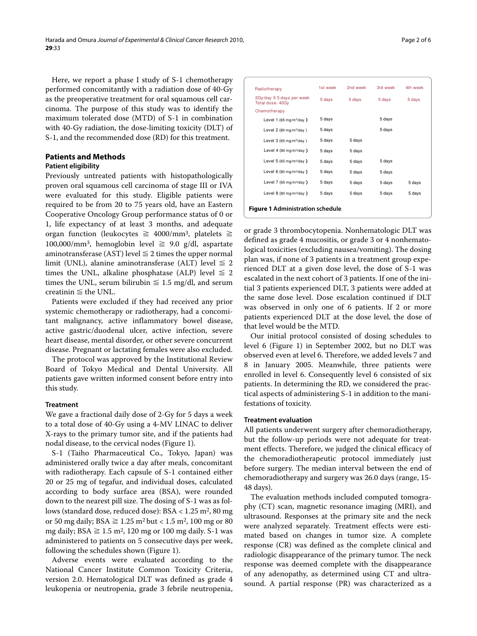Here, we report a phase I study of S-1 chemotherapy performed concomitantly with a radiation dose of 40-Gy as the preoperative treatment for oral squamous cell carcinoma. The purpose of this study was to identify the maximum tolerated dose (MTD) of S-1 in combination with 40-Gy radiation, the dose-limiting toxicity (DLT) of S-1, and the recommended dose (RD) for this treatment.

# **Patients and Methods**

# **Patient eligibility**

Previously untreated patients with histopathologically proven oral squamous cell carcinoma of stage III or IVA were evaluated for this study. Eligible patients were required to be from 20 to 75 years old, have an Eastern Cooperative Oncology Group performance status of 0 or 1, life expectancy of at least 3 months, and adequate organ function (leukocytes  $\geq 4000/\text{mm}^3$ , platelets  $\geq$ 100,000/mm<sup>3</sup>, hemoglobin level  $\geq$  9.0 g/dl, aspartate aminotransferase (AST) level  $\leq$  2 times the upper normal limit (UNL), alanine aminotransferase (ALT) level  $\leq 2$ times the UNL, alkaline phosphatase (ALP) level  $\leq 2$ times the UNL, serum bilirubin  $\leq 1.5$  mg/dl, and serum creatinin  $\leq$  the UNL.

Patients were excluded if they had received any prior systemic chemotherapy or radiotherapy, had a concomitant malignancy, active inflammatory bowel disease, active gastric/duodenal ulcer, active infection, severe heart disease, mental disorder, or other severe concurrent disease. Pregnant or lactating females were also excluded.

The protocol was approved by the Institutional Review Board of Tokyo Medical and Dental University. All patients gave written informed consent before entry into this study.

# **Treatment**

We gave a fractional daily dose of 2-Gy for 5 days a week to a total dose of 40-Gy using a 4-MV LINAC to deliver X-rays to the primary tumor site, and if the patients had nodal disease, to the cervical nodes (Figure [1\)](#page-1-0).

S-1 (Taiho Pharmaceutical Co., Tokyo, Japan) was administered orally twice a day after meals, concomitant with radiotherapy. Each capsule of S-1 contained either 20 or 25 mg of tegafur, and individual doses, calculated according to body surface area (BSA), were rounded down to the nearest pill size. The dosing of S-1 was as follows (standard dose, reduced dose):  $BSA < 1.25$  m<sup>2</sup>, 80 mg or 50 mg daily;  $BSA \ge 1.25 \text{ m}^2 \text{ but } < 1.5 \text{ m}^2$ , 100 mg or 80 mg daily;  $BSA \ge 1.5$  m<sup>2</sup>, 120 mg or 100 mg daily. S-1 was administered to patients on 5 consecutive days per week, following the schedules shown (Figure [1\)](#page-1-0).

Adverse events were evaluated according to the National Cancer Institute Common Toxicity Criteria, version 2.0. Hematological DLT was defined as grade 4 leukopenia or neutropenia, grade 3 febrile neutropenia,

<span id="page-1-0"></span>

| Radiotherapy                                  | 1st week | 2nd week | 3rd week | 4th week |  |  |
|-----------------------------------------------|----------|----------|----------|----------|--|--|
| 2Gy/day X 5 days per week<br>Total dose: 40Gy | 5 days   | 5 days   | 5 days   | 5 days   |  |  |
| Chemotherapy                                  |          |          |          |          |  |  |
| Level 1 (65 mg/m <sup>2</sup> /day )          | 5 days   |          | 5 days   |          |  |  |
| Level 2 (80 mg/m <sup>2</sup> /day)           | 5 days   |          | 5 days   |          |  |  |
| Level 3 (65 mg/m <sup>2</sup> /day)           | 5 days   | 5 days   |          |          |  |  |
| Level 4 (80 mg/m <sup>2</sup> /day)           | 5 days   | 5 days   |          |          |  |  |
| Level 5 (65 mg/m <sup>2</sup> /day )          | 5 days   | 5 days   | 5 days   |          |  |  |
| Level 6 (80 mg/m <sup>2</sup> /day )          | 5 days   | 5 days   | 5 days   |          |  |  |
| Level 7 (65 mg/m <sup>2</sup> /day)           | 5 days   | 5 days   | 5 days   | 5 days   |  |  |
| Level 8 (80 mg/m <sup>2</sup> /day )          | 5 days   | 5 days   | 5 days   | 5 days   |  |  |
| <b>Figure 1 Administration schedule.</b>      |          |          |          |          |  |  |

or grade 3 thrombocytopenia. Nonhematologic DLT was defined as grade 4 mucositis, or grade 3 or 4 nonhematological toxicities (excluding nausea/vomiting). The dosing plan was, if none of 3 patients in a treatment group experienced DLT at a given dose level, the dose of S-1 was escalated in the next cohort of 3 patients. If one of the initial 3 patients experienced DLT, 3 patients were added at the same dose level. Dose escalation continued if DLT was observed in only one of 6 patients. If 2 or more patients experienced DLT at the dose level, the dose of that level would be the MTD.

Our initial protocol consisted of dosing schedules to level 6 (Figure [1\)](#page-1-0) in September 2002, but no DLT was observed even at level 6. Therefore, we added levels 7 and 8 in January 2005. Meanwhile, three patients were enrolled in level 6. Consequently level 6 consisted of six patients. In determining the RD, we considered the practical aspects of administering S-1 in addition to the manifestations of toxicity.

#### **Treatment evaluation**

All patients underwent surgery after chemoradiotherapy, but the follow-up periods were not adequate for treatment effects. Therefore, we judged the clinical efficacy of the chemoradiotherapeutic protocol immediately just before surgery. The median interval between the end of chemoradiotherapy and surgery was 26.0 days (range, 15- 48 days).

The evaluation methods included computed tomography (CT) scan, magnetic resonance imaging (MRI), and ultrasound. Responses at the primary site and the neck were analyzed separately. Treatment effects were estimated based on changes in tumor size. A complete response (CR) was defined as the complete clinical and radiologic disappearance of the primary tumor. The neck response was deemed complete with the disappearance of any adenopathy, as determined using CT and ultrasound. A partial response (PR) was characterized as a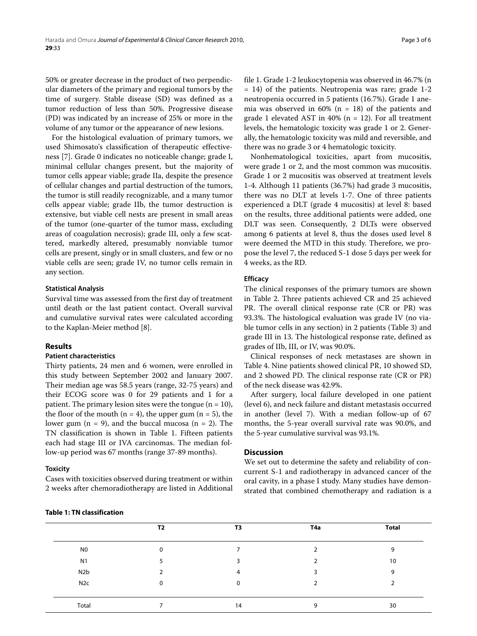50% or greater decrease in the product of two perpendicular diameters of the primary and regional tumors by the time of surgery. Stable disease (SD) was defined as a tumor reduction of less than 50%. Progressive disease (PD) was indicated by an increase of 25% or more in the volume of any tumor or the appearance of new lesions.

For the histological evaluation of primary tumors, we used Shimosato's classification of therapeutic effectiveness [\[7](#page-5-1)]. Grade 0 indicates no noticeable change; grade I, minimal cellular changes present, but the majority of tumor cells appear viable; grade IIa, despite the presence of cellular changes and partial destruction of the tumors, the tumor is still readily recognizable, and a many tumor cells appear viable; grade IIb, the tumor destruction is extensive, but viable cell nests are present in small areas of the tumor (one-quarter of the tumor mass, excluding areas of coagulation necrosis); grade III, only a few scattered, markedly altered, presumably nonviable tumor cells are present, singly or in small clusters, and few or no viable cells are seen; grade IV, no tumor cells remain in any section.

### **Statistical Analysis**

Survival time was assessed from the first day of treatment until death or the last patient contact. Overall survival and cumulative survival rates were calculated according to the Kaplan-Meier method [[8\]](#page-5-2).

# **Results**

## **Patient characteristics**

Thirty patients, 24 men and 6 women, were enrolled in this study between September 2002 and January 2007. Their median age was 58.5 years (range, 32-75 years) and their ECOG score was 0 for 29 patients and 1 for a patient. The primary lesion sites were the tongue  $(n = 10)$ , the floor of the mouth ( $n = 4$ ), the upper gum ( $n = 5$ ), the lower gum  $(n = 9)$ , and the buccal mucosa  $(n = 2)$ . The TN classification is shown in Table 1. Fifteen patients each had stage III or IVA carcinomas. The median follow-up period was 67 months (range 37-89 months).

#### **Toxicity**

Cases with toxicities observed during treatment or within 2 weeks after chemoradiotherapy are listed in Additional file [1](#page-4-5). Grade 1-2 leukocytopenia was observed in 46.7% (n  $= 14$ ) of the patients. Neutropenia was rare; grade 1-2 neutropenia occurred in 5 patients (16.7%). Grade 1 anemia was observed in  $60\%$  (n = 18) of the patients and grade 1 elevated AST in  $40\%$  (n = 12). For all treatment levels, the hematologic toxicity was grade 1 or 2. Generally, the hematologic toxicity was mild and reversible, and there was no grade 3 or 4 hematologic toxicity.

Nonhematological toxicities, apart from mucositis, were grade 1 or 2, and the most common was mucositis. Grade 1 or 2 mucositis was observed at treatment levels 1-4. Although 11 patients (36.7%) had grade 3 mucositis, there was no DLT at levels 1-7. One of three patients experienced a DLT (grade 4 mucositis) at level 8: based on the results, three additional patients were added, one DLT was seen. Consequently, 2 DLTs were observed among 6 patients at level 8, thus the doses used level 8 were deemed the MTD in this study. Therefore, we propose the level 7, the reduced S-1 dose 5 days per week for 4 weeks, as the RD.

#### **Efficacy**

The clinical responses of the primary tumors are shown in Table 2. Three patients achieved CR and 25 achieved PR. The overall clinical response rate (CR or PR) was 93.3%. The histological evaluation was grade IV (no viable tumor cells in any section) in 2 patients (Table 3) and grade III in 13. The histological response rate, defined as grades of IIb, III, or IV, was 90.0%.

Clinical responses of neck metastases are shown in Table [4](#page-4-6). Nine patients showed clinical PR, 10 showed SD, and 2 showed PD. The clinical response rate (CR or PR) of the neck disease was 42.9%.

After surgery, local failure developed in one patient (level 6), and neck failure and distant metastasis occurred in another (level 7). With a median follow-up of 67 months, the 5-year overall survival rate was 90.0%, and the 5-year cumulative survival was 93.1%.

## **Discussion**

We set out to determine the safety and reliability of concurrent S-1 and radiotherapy in advanced cancer of the oral cavity, in a phase I study. Many studies have demonstrated that combined chemotherapy and radiation is a

#### **Table 1: TN classification**

|                  | T2       | T3 | T4a      | <b>Total</b> |
|------------------|----------|----|----------|--------------|
| N <sub>0</sub>   |          |    |          | 9            |
| N <sub>1</sub>   |          |    |          | 10           |
| N <sub>2</sub> b |          | 4  |          | 9            |
| N <sub>2</sub> c | $\Omega$ | 0  |          |              |
|                  |          |    |          |              |
| Total            |          | 14 | $\Omega$ | 30           |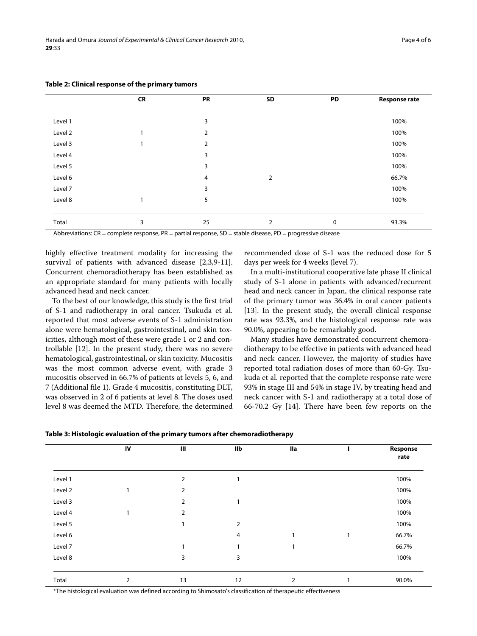|         | <b>CR</b> | PR             | SD             | PD          | <b>Response rate</b> |
|---------|-----------|----------------|----------------|-------------|----------------------|
|         |           |                |                |             |                      |
| Level 1 |           | 3              |                |             | 100%                 |
| Level 2 |           | 2              |                |             | 100%                 |
| Level 3 | 1         | $\overline{2}$ |                |             | 100%                 |
| Level 4 |           | 3              |                |             | 100%                 |
| Level 5 |           | 3              |                |             | 100%                 |
| Level 6 |           | 4              | $\overline{2}$ |             | 66.7%                |
| Level 7 |           | 3              |                |             | 100%                 |
| Level 8 | 1         | 5              |                |             | 100%                 |
|         |           |                |                |             |                      |
| Total   | 3         | 25             | 2              | $\mathbf 0$ | 93.3%                |

#### **Table 2: Clinical response of the primary tumors**

Abbreviations: CR = complete response, PR = partial response, SD = stable disease, PD = progressive disease

highly effective treatment modality for increasing the survival of patients with advanced disease [\[2](#page-4-1),[3,](#page-4-2)[9-](#page-5-3)[11](#page-5-4)]. Concurrent chemoradiotherapy has been established as an appropriate standard for many patients with locally advanced head and neck cancer.

To the best of our knowledge, this study is the first trial of S-1 and radiotherapy in oral cancer. Tsukuda et al. reported that most adverse events of S-1 administration alone were hematological, gastrointestinal, and skin toxicities, although most of these were grade 1 or 2 and controllable [\[12](#page-5-5)]. In the present study, there was no severe hematological, gastrointestinal, or skin toxicity. Mucositis was the most common adverse event, with grade 3 mucositis observed in 66.7% of patients at levels 5, 6, and 7 (Additional file [1\)](#page-4-5). Grade 4 mucositis, constituting DLT, was observed in 2 of 6 patients at level 8. The doses used level 8 was deemed the MTD. Therefore, the determined recommended dose of S-1 was the reduced dose for 5 days per week for 4 weeks (level 7).

In a multi-institutional cooperative late phase II clinical study of S-1 alone in patients with advanced/recurrent head and neck cancer in Japan, the clinical response rate of the primary tumor was 36.4% in oral cancer patients [[13\]](#page-5-6). In the present study, the overall clinical response rate was 93.3%, and the histological response rate was 90.0%, appearing to be remarkably good.

Many studies have demonstrated concurrent chemoradiotherapy to be effective in patients with advanced head and neck cancer. However, the majority of studies have reported total radiation doses of more than 60-Gy. Tsukuda et al. reported that the complete response rate were 93% in stage III and 54% in stage IV, by treating head and neck cancer with S-1 and radiotherapy at a total dose of 66-70.2 Gy [[14](#page-5-7)]. There have been few reports on the

|         | IV | Ш              | llb | lla |   | Response<br>rate |
|---------|----|----------------|-----|-----|---|------------------|
| Level 1 |    | 2              |     |     |   | 100%             |
| Level 2 |    | $\overline{2}$ |     |     |   | 100%             |
| Level 3 |    | 2              |     |     |   | 100%             |
| Level 4 |    | 2              |     |     |   | 100%             |
| Level 5 |    | 1              | 2   |     |   | 100%             |
| Level 6 |    |                | 4   | 1   | 1 | 66.7%            |
| Level 7 |    | 1              |     | 1   |   | 66.7%            |
| Level 8 |    | 3              | 3   |     |   | 100%             |
|         |    |                |     |     |   |                  |
| Total   | 2  | 13             | 12  | 2   |   | 90.0%            |

\*The histological evaluation was defined according to Shimosato's classification of therapeutic effectiveness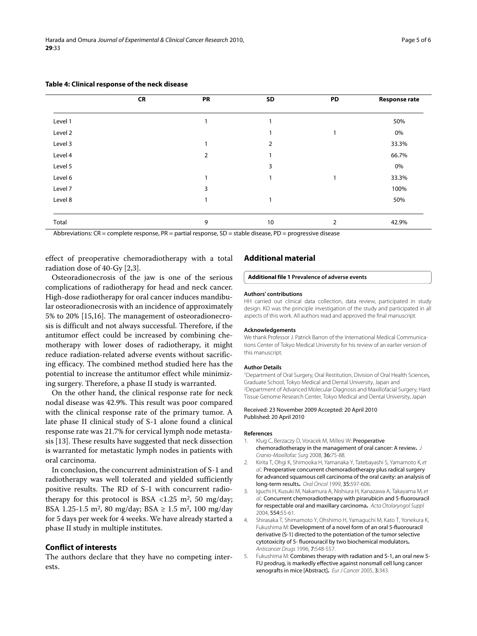|         | <b>CR</b> | PR | SD           | PD | <b>Response rate</b> |
|---------|-----------|----|--------------|----|----------------------|
| Level 1 |           |    | 1            |    | 50%                  |
| Level 2 |           |    | 1            |    | 0%                   |
| Level 3 |           |    | 2            |    | 33.3%                |
| Level 4 |           | 2  | 1            |    | 66.7%                |
| Level 5 |           |    | 3            |    | 0%                   |
| Level 6 |           |    | $\mathbf{1}$ |    | 33.3%                |
| Level 7 |           | 3  |              |    | 100%                 |
| Level 8 |           |    | $\mathbf{I}$ |    | 50%                  |
|         |           |    |              |    |                      |
| Total   |           | 9  | 10           | 2  | 42.9%                |

### <span id="page-4-6"></span>**Table 4: Clinical response of the neck disease**

Abbreviations: CR = complete response, PR = partial response, SD = stable disease, PD = progressive disease

effect of preoperative chemoradiotherapy with a total radiation dose of 40-Gy [\[2](#page-4-1)[,3](#page-4-2)].

Osteoradionecrosis of the jaw is one of the serious complications of radiotherapy for head and neck cancer. High-dose radiotherapy for oral cancer induces mandibular osteoradionecrosis with an incidence of approximately 5% to 20% [[15,](#page-5-8)[16\]](#page-5-9). The management of osteoradionecrosis is difficult and not always successful. Therefore, if the antitumor effect could be increased by combining chemotherapy with lower doses of radiotherapy, it might reduce radiation-related adverse events without sacrificing efficacy. The combined method studied here has the potential to increase the antitumor effect while minimizing surgery. Therefore, a phase II study is warranted.

On the other hand, the clinical response rate for neck nodal disease was 42.9%. This result was poor compared with the clinical response rate of the primary tumor. A late phase II clinical study of S-1 alone found a clinical response rate was 21.7% for cervical lymph node metastasis [\[13](#page-5-6)]. These results have suggested that neck dissection is warranted for metastatic lymph nodes in patients with oral carcinoma.

In conclusion, the concurrent administration of S-1 and radiotherapy was well tolerated and yielded sufficiently positive results. The RD of S-1 with concurrent radiotherapy for this protocol is BSA <1.25 m<sup>2</sup>, 50 mg/day; BSA 1.25-1.5 m2, 80 mg/day; BSA ≥ 1.5 m2, 100 mg/day for 5 days per week for 4 weeks. We have already started a phase II study in multiple institutes.

## **Conflict of interests**

The authors declare that they have no competing interests.

#### **Additional material**

#### <span id="page-4-5"></span>**[Additional file 1](http://www.biomedcentral.com/content/supplementary/1756-9966-29-33-S1.DOCX) Prevalence of adverse events**

#### **Authors' contributions**

HH carried out clinical data collection, data review, participated in study design. KO was the principle investigation of the study and participated in all aspects of this work. All authors read and approved the final manuscript.

#### **Acknowledgements**

We thank Professor J. Patrick Barron of the International Medical Communications Center of Tokyo Medical University for his review of an earlier version of this manuscript.

#### **Author Details**

1Department of Oral Surgery, Oral Restitution, Division of Oral Health Sciences, Graduate School, Tokyo Medical and Dental University, Japan and 2Department of Advanced Molecular Diagnosis and Maxillofacial Surgery, Hard Tissue Genome Research Center, Tokyo Medical and Dental University, Japan

#### Received: 23 November 2009 Accepted: 20 April 2010 Published: 20 April 2010

#### **References**

- <span id="page-4-0"></span>1. Klug C, Berzaczy D, Voracek M, Millesi W: Preoperative chemoradiotherapy in the management of oral cancer: A review**.** J Cranio-Maxillofac Surg 2008, 36:75-88.
- <span id="page-4-1"></span>2. Kirita T, Ohgi K, Shimooka H, Yamanaka Y, Tatebayashi S, Yamamoto K, et al.: Preoperative concurrent chemoradiotherapy plus radical surgery for advanced squamous cell carcinoma of the oral cavity: an analysis of long-term results**.** Oral Oncol 1999, 35:597-606.
- <span id="page-4-2"></span>3. Iguchi H, Kusuki M, Nakamura A, Nishiura H, Kanazawa A, Takayama M, et al.: Concurrent chemoradiotherapy with pirarubicin and 5-fluorouracil for respectable oral and maxillary carcinoma**.** Acta Otolaryngol Suppl 2004, 554:55-61.
- <span id="page-4-3"></span>4. Shirasaka T, Shimamoto Y, Ohshimo H, Yamaguchi M, Kato T, Yonekura K, Fukushima M: Development of a novel form of an oral 5-fluorouracil derivative (S-1) directed to the potentiation of the tumor selective cytotoxicity of 5- fluorouracil by two biochemical modulators**[.](http://www.ncbi.nlm.nih.gov/entrez/query.fcgi?cmd=Retrieve&db=PubMed&dopt=Abstract&list_uids=8862723)** Anticancer Drugs 1996, 7:548-557.
- <span id="page-4-4"></span>5. Fukushima M: Combines therapy with radiation and S-1, an oral new 5- FU prodrug, is markedly effective against nonsmall cell lung cancer xenografts in mice [Abstract]**.** Eur J Cancer 2005, 3:343.